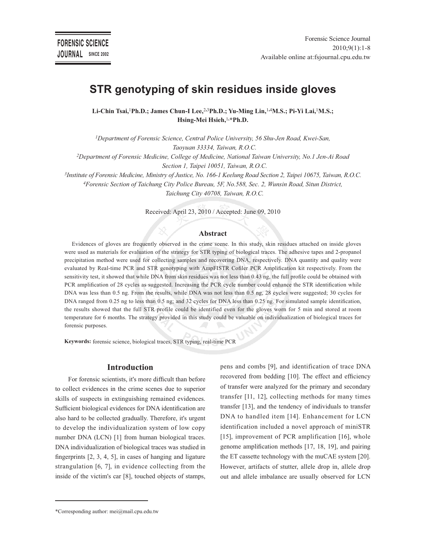# **STR genotyping of skin residues inside gloves**

**Li-Chin Tsai,**<sup>1</sup>**Ph.D.; James Chun-I Lee,**<sup>2</sup>**,**<sup>3</sup>**Ph.D.; Yu-Ming Lin,**<sup>1</sup>**,**<sup>4</sup>**M.S.; Pi-Yi Lai,**<sup>1</sup>**M.S.; Hsing-Mei Hsieh,**<sup>1</sup>**,\*Ph.D.**

*<sup>1</sup>Department of Forensic Science, Central Police University, 56 Shu-Jen Road, Kwei-San, Taoyuan 33334, Taiwan, R.O.C.*

*<sup>2</sup>Department of Forensic Medicine, College of Medicine, National Taiwan University, No.1 Jen-Ai Road Section 1, Taipei 10051, Taiwan, R.O.C.*

*3 Institute of Forensic Medicine, Ministry of Justice, No. 166-1 Keelung Road Section 2, Taipei 10675, Taiwan, R.O.C. <sup>4</sup>Forensic Section of Taichung City Police Bureau, 5F, No.588, Sec. 2, Wunsin Road, Situn District,* 

*Taichung City 40708, Taiwan, R.O.C.*

Received: April 23, 2010 / Accepted: June 09, 2010

#### **Abstract**

Evidences of gloves are frequently observed in the crime scene. In this study, skin residues attached on inside gloves were used as materials for evaluation of the strategy for STR typing of biological traces. The adhesive tapes and 2-propanol precipitation method were used for collecting samples and recovering DNA, respectively. DNA quantity and quality were evaluated by Real-time PCR and STR genotyping with AmpFISTR Cofiler PCR Amplification kit respectively. From the sensitivity test, it showed that while DNA from skin residues was not less than 0.43 ng, the full profile could be obtained with PCR amplification of 28 cycles as suggested. Increasing the PCR cycle number could enhance the STR identification while DNA was less than 0.5 ng. From the results, while DNA was not less than 0.5 ng, 28 cycles were suggested; 30 cycles for DNA ranged from 0.25 ng to less than 0.5 ng; and 32 cycles for DNA less than 0.25 ng. For simulated sample identification, the results showed that the full STR profile could be identified even for the gloves worn for 5 min and stored at room temperature for 6 months. The strategy provided in this study could be valuable on individualization of biological traces for forensic purposes.

**Keywords:** forensic science, biological traces, STR typing, real-time PCR

## **Introduction**

For forensic scientists, it's more difficult than before to collect evidences in the crime scenes due to superior skills of suspects in extinguishing remained evidences. Sufficient biological evidences for DNA identification are also hard to be collected gradually. Therefore, it's urgent to develop the individualization system of low copy number DNA (LCN) [1] from human biological traces. DNA individualization of biological traces was studied in fingerprints [2, 3, 4, 5], in cases of hanging and ligature strangulation [6, 7], in evidence collecting from the inside of the victim's car [8], touched objects of stamps, pens and combs [9], and identification of trace DNA recovered from bedding [10]. The effect and efficiency of transfer were analyzed for the primary and secondary transfer [11, 12], collecting methods for many times transfer [13], and the tendency of individuals to transfer DNA to handled item [14]. Enhancement for LCN identification included a novel approach of miniSTR [15], improvement of PCR amplification [16], whole genome amplification methods [17, 18, 19], and pairing the ET cassette technology with the muCAE system [20]. However, artifacts of stutter, allele drop in, allele drop out and allele imbalance are usually observed for LCN

<sup>\*</sup>Corresponding author: mei@mail.cpu.edu.tw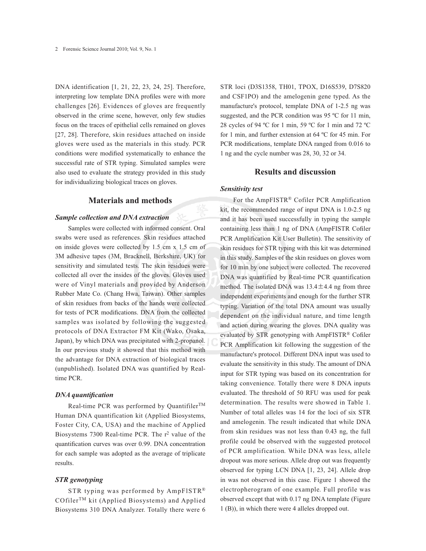DNA identification [1, 21, 22, 23, 24, 25]. Therefore, interpreting low template DNA profiles were with more challenges [26]. Evidences of gloves are frequently observed in the crime scene, however, only few studies focus on the traces of epithelial cells remained on gloves [27, 28]. Therefore, skin residues attached on inside gloves were used as the materials in this study. PCR conditions were modified systematically to enhance the successful rate of STR typing. Simulated samples were also used to evaluate the strategy provided in this study for individualizing biological traces on gloves.

## **Materials and methods**

## *Sample collection and DNA extraction*

Samples were collected with informed consent. Oral swabs were used as references. Skin residues attached on inside gloves were collected by 1.5 cm x 1.5 cm of 3M adhesive tapes (3M, Bracknell, Berkshire, UK) for sensitivity and simulated tests. The skin residues were collected all over the insides of the gloves. Gloves used were of Vinyl materials and provided by Anderson Rubber Mate Co. (Chang Hwa, Taiwan). Other samples of skin residues from backs of the hands were collected for tests of PCR modifications. DNA from the collected samples was isolated by following the suggested protocols of DNA Extractor FM Kit (Wako, Osaka, Japan), by which DNA was precipitated with 2-propanol. In our previous study it showed that this method with the advantage for DNA extraction of biological traces (unpublished). Isolated DNA was quantified by Realtime PCR.

#### *DNA quantification*

Real-time PCR was performed by Quantifiler<sup>TM</sup> Human DNA quantification kit (Applied Biosystems, Foster City, CA, USA) and the machine of Applied Biosystems 7300 Real-time PCR. The r<sup>2</sup> value of the quantification curves was over 0.99. DNA concentration for each sample was adopted as the average of triplicate results.

## *STR genotyping*

STR typing was performed by AmpFlSTR® COfilerTM kit (Applied Biosystems) and Applied Biosystems 310 DNA Analyzer. Totally there were 6 STR loci (D3S1358, TH01, TPOX, D16S539, D7S820 and CSF1PO) and the amelogenin gene typed. As the manufacture's protocol, template DNA of 1-2.5 ng was suggested, and the PCR condition was 95 ºC for 11 min, 28 cycles of 94 ºC for 1 min, 59 ºC for 1 min and 72 ºC for 1 min, and further extension at 64 ºC for 45 min. For PCR modifications, template DNA ranged from 0.016 to 1 ng and the cycle number was 28, 30, 32 or 34.

# **Results and discussion**

## *Sensitivity test*

For the AmpFISTR® Cofiler PCR Amplification kit, the recommended range of input DNA is 1.0-2.5 ng and it has been used successfully in typing the sample containing less than 1 ng of DNA (AmpFISTR Cofiler PCR Amplification Kit User Bulletin). The sensitivity of skin residues for STR typing with this kit was determined in this study. Samples of the skin residues on gloves worn for 10 min by one subject were collected. The recovered DNA was quantified by Real-time PCR quantification method. The isolated DNA was  $13.4 \pm 4.4$  ng from three independent experiments and enough for the further STR typing. Variation of the total DNA amount was usually dependent on the individual nature, and time length and action during wearing the gloves. DNA quality was evaluated by STR genotyping with AmpFISTR® Cofiler PCR Amplification kit following the suggestion of the manufacture's protocol. Different DNA input was used to evaluate the sensitivity in this study. The amount of DNA input for STR typing was based on its concentration for taking convenience. Totally there were 8 DNA inputs evaluated. The threshold of 50 RFU was used for peak determination. The results were showed in Table 1. Number of total alleles was 14 for the loci of six STR and amelogenin. The result indicated that while DNA from skin residues was not less than 0.43 ng, the full profile could be observed with the suggested protocol of PCR amplification. While DNA was less, allele dropout was more serious. Allele drop out was frequently observed for typing LCN DNA [1, 23, 24]. Allele drop in was not observed in this case. Figure 1 showed the electropherogram of one example. Full profile was observed except that with 0.17 ng DNA template (Figure 1 (B)), in which there were 4 alleles dropped out.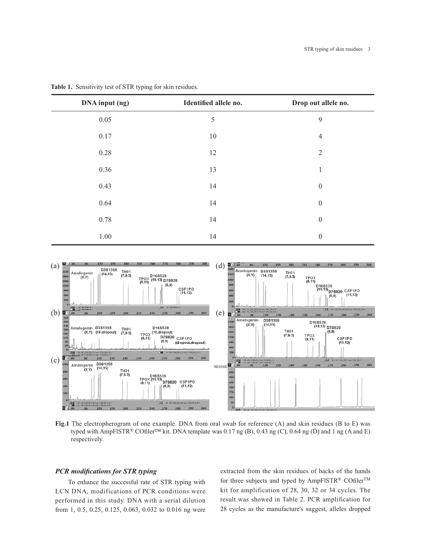| DNA input (ng) | Identified allele no. | Drop out allele no. |
|----------------|-----------------------|---------------------|
| 0.05           | 5                     | 9                   |
| 0.17           | 10                    | $\overline{4}$      |
| 0.28           | 12                    | $\mathfrak{2}$      |
| 0.36           | 13                    | $\mathbf{1}$        |
| 0.43           | 14                    | $\boldsymbol{0}$    |
| 0.64           | 14                    | $\boldsymbol{0}$    |
| 0.78           | 14                    | $\boldsymbol{0}$    |
| 1.00           | 14                    | $\boldsymbol{0}$    |

**Table 1.** Sensitivity test of STR typing for skin residues.



**Fig.1** The electropherogram of one example. DNA from oral swab for reference (A) and skin residues (B to E) was typed with AmpFlSTR® COfiler™ kit. DNA template was 0.17 ng (B), 0.43 ng (C), 0.64 ng (D) and 1 ng (A and E) respectively.

# *PCR modifications for STR typing*

To enhance the successful rate of STR typing with LCN DNA, modifications of PCR conditions were performed in this study. DNA with a serial dilution from 1, 0.5, 0.25, 0.125, 0.063, 0.032 to 0.016 ng were extracted from the skin residues of backs of the hands for three subjects and typed by AmpFlSTR® COfilerTM kit for amplification of 28, 30, 32 or 34 cycles. The result was showed in Table 2. PCR amplification for 28 cycles as the manufacture's suggest, alleles dropped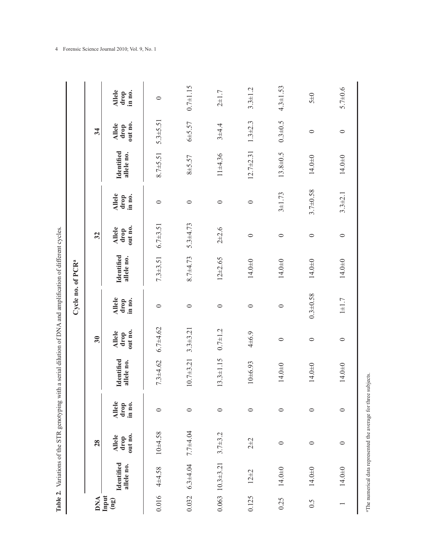| $\ddot{\tilde{}}$          |
|----------------------------|
|                            |
|                            |
| i<br>;<br>$-1 - 1 - 1 - 1$ |
| ׃<br>:                     |
| $rac{1}{2}$<br>١           |
| ֚֚֚֚֬<br>֧֚֝               |
| <br> <br>                  |
| l<br>ł.                    |
| i<br>Tak1.<br>Í            |

|                                           |                                                       |                                  |                                 | Table 2. Variations of the STR genotyping with a serial dilution of DNA and amplification of different cycles. |                                  |                                 | Cycle no. of PCR <sup>a</sup>   |                                  |                                 |                          |                                  |                                 |
|-------------------------------------------|-------------------------------------------------------|----------------------------------|---------------------------------|----------------------------------------------------------------------------------------------------------------|----------------------------------|---------------------------------|---------------------------------|----------------------------------|---------------------------------|--------------------------|----------------------------------|---------------------------------|
| <b>DNA</b>                                |                                                       | 28                               |                                 |                                                                                                                | 30                               |                                 |                                 | 32                               |                                 |                          | 34                               |                                 |
| Input<br>$\left( \mathfrak{g}_{0}\right)$ | Identified<br>allele no.                              | out no.<br><b>Allele</b><br>drop | <b>Allele</b><br>in no.<br>drop | <b>Identified</b><br>allele no.                                                                                | out no.<br><b>Allele</b><br>drop | <b>Allele</b><br>in no.<br>drop | <b>Identified</b><br>allele no. | out no.<br><b>Allele</b><br>drop | <b>Allele</b><br>in no.<br>drop | Identified<br>allele no. | out no.<br><b>Allele</b><br>drop | <b>Allele</b><br>in no.<br>drop |
| 0.016                                     | 4±4.58                                                | $10 + 4.58$                      | $\circ$                         | $7.3 + 4.62$                                                                                                   | $6.7 + 4.62$                     | $\circ$                         | $7.3 + 3.51$                    | $6.7 \pm 3.51$                   | $\circ$                         | $8.7 + 5.51$             | $5.3 \pm 5.51$                   | $\circ$                         |
| 0.032                                     | $6.3 + 4.04$                                          | $7.7 + 4.04$                     | $\circ$                         | $10.7 + 3.21$                                                                                                  | $3.3 + 3.21$                     | $\circ$                         | $8.7 + 4.73$                    | $5.3 + 4.73$                     | $\circ$                         | $8 + 5.57$               | $6 + 5.57$                       | $0.7 + 1.15$                    |
|                                           | $0.063$ 10.3±3.21                                     | $3.7 + 3.2$                      | $\circ$                         | $13.3 \pm 1.15$                                                                                                | $0.7 + 1.2$                      | $\circ$                         | $12 + 2.65$                     | $2 + 2.6$                        | $\circ$                         | $11 + 4.36$              | $3 + 4.4$                        | $2 + 1.7$                       |
| 0.125                                     | $12 + 2$                                              | $2\pm2$                          | $\circ$                         | $10 + 6.93$                                                                                                    | $4\pm 6.9$                       | $\circ$                         | $14.0 + 0$                      | $\circ$                          | $\circ$                         | $12.7 \pm 2.31$          | $1.3 + 2.3$                      | $3.3 \pm 1.2$                   |
| 0.25                                      | $14.0 + 0$                                            | $\circ$                          | $\circ$                         | 14.0±0                                                                                                         | $\circ$                          | $\circ$                         | $14.0 \pm 0$                    | $\circ$                          | $3 + 1.73$                      | 13.8±0.5                 | $0.3 + 0.5$                      | $4.3 \pm 1.53$                  |
| $\widetilde{0}$ .                         | $14.0 + 0$                                            | $\circ$                          | $\circ$                         | $14.0\pm0$                                                                                                     | $\circ$                          | $0.3 + 0.58$                    | $14.0 \pm 0$                    | $\circ$                          | $3.7\pm0.58$                    | $14.0 \pm 0$             | $\circ$                          | $5\pm0$                         |
|                                           | $14.0 + 0$                                            | $\circ$                          | $\circ$                         | 14.0 <sup><math>\pm</math>0</sup>                                                                              | $\circ$                          | $1\pm1.7$                       | $14.0 + 0$                      | $\circ$                          | $3.3 + 2.1$                     | $14.0 + 0$               | $\circ$                          | $5.7 + 0.6$                     |
|                                           | aThe numerical data represented the average for three |                                  |                                 | subjects.                                                                                                      |                                  |                                 |                                 |                                  |                                 |                          |                                  |                                 |

4 Forensic Science Journal 2010; Vol. 9, No. 1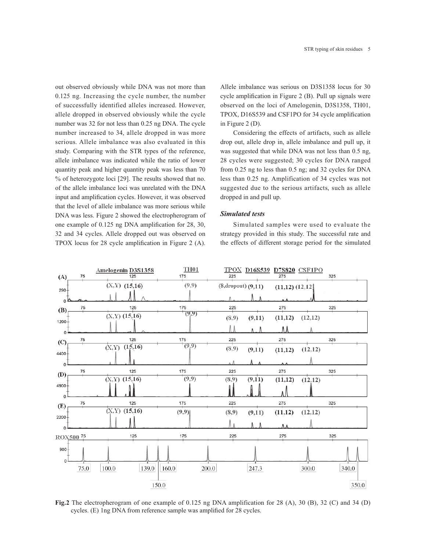out observed obviously while DNA was not more than 0.125 ng. Increasing the cycle number, the number of successfully identified alleles increased. However, allele dropped in observed obviously while the cycle number was 32 for not less than 0.25 ng DNA. The cycle number increased to 34, allele dropped in was more serious. Allele imbalance was also evaluated in this study. Comparing with the STR types of the reference, allele imbalance was indicated while the ratio of lower quantity peak and higher quantity peak was less than 70 % of heterozygote loci [29]. The results showed that no. of the allele imbalance loci was unrelated with the DNA input and amplification cycles. However, it was observed that the level of allele imbalance was more serious while DNA was less. Figure 2 showed the electropherogram of one example of 0.125 ng DNA amplification for 28, 30, 32 and 34 cycles. Allele dropped out was observed on TPOX locus for 28 cycle amplification in Figure 2 (A).

Allele imbalance was serious on D3S1358 locus for 30 cycle amplification in Figure 2 (B). Pull up signals were observed on the loci of Amelogenin, D3S1358, TH01, TPOX, D16S539 and CSF1PO for 34 cycle amplification in Figure 2 (D).

Considering the effects of artifacts, such as allele drop out, allele drop in, allele imbalance and pull up, it was suggested that while DNA was not less than 0.5 ng, 28 cycles were suggested; 30 cycles for DNA ranged from 0.25 ng to less than 0.5 ng; and 32 cycles for DNA less than 0.25 ng. Amplification of 34 cycles was not suggested due to the serious artifacts, such as allele dropped in and pull up.

## *Simulated tests*

Simulated samples were used to evaluate the strategy provided in this study. The successful rate and the effects of different storage period for the simulated



**Fig.2** The electropherogram of one example of 0.125 ng DNA amplification for 28 (A), 30 (B), 32 (C) and 34 (D) cycles. (E) 1ng DNA from reference sample was amplified for 28 cycles.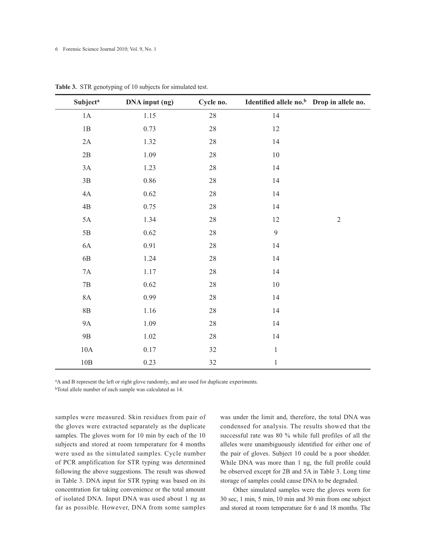6 Forensic Science Journal 2010; Vol. 9, No. 1

| <b>Subject<sup>a</sup></b> | DNA input (ng) | Cycle no. | Identified allele no. <sup>b</sup> Drop in allele no. |            |
|----------------------------|----------------|-----------|-------------------------------------------------------|------------|
| $1\mathrm{A}$              | 1.15           | $28\,$    | $14\,$                                                |            |
| $1\mathrm{B}$              | 0.73           | $28\,$    | 12                                                    |            |
| 2A                         | 1.32           | $28\,$    | 14                                                    |            |
| $2\mathrm{B}$              | 1.09           | $28\,$    | $10\,$                                                |            |
| $3A$                       | $1.23\,$       | $28\,$    | $14\,$                                                |            |
| $3\mathrm{B}$              | $0.86\,$       | $28\,$    | 14                                                    |            |
| $4A$                       | 0.62           | $28\,$    | 14                                                    |            |
| $4\mathrm{B}$              | 0.75           | $28\,$    | 14                                                    |            |
| 5A                         | 1.34           | $28\,$    | 12                                                    | $\sqrt{2}$ |
| $5\mathrm{B}$              | 0.62           | $28\,$    | $\mathfrak{g}$                                        |            |
| $6A$                       | 0.91           | $28\,$    | 14                                                    |            |
| $6\mathrm{B}$              | 1.24           | $28\,$    | $14\,$                                                |            |
| $7A$                       | 1.17           | $28\,$    | 14                                                    |            |
| $7\mathrm{B}$              | 0.62           | $28\,$    | $10\,$                                                |            |
| $8\mathrm{A}$              | 0.99           | $28\,$    | 14                                                    |            |
| $8\mathrm{B}$              | 1.16           | $28\,$    | 14                                                    |            |
| <b>9A</b>                  | 1.09           | 28        | 14                                                    |            |
| $9B$                       | $1.02\,$       | $28\,$    | 14                                                    |            |
| $10\mathrm{A}$             | $0.17\,$       | 32        | $\,1\,$                                               |            |
| $10B$                      | 0.23           | 32        | $\,1\,$                                               |            |

**Table 3.** STR genotyping of 10 subjects for simulated test.

<sup>a</sup>A and B represent the left or right glove randomly, and are used for duplicate experiments.

bTotal allele number of each sample was calculated as 14.

samples were measured. Skin residues from pair of the gloves were extracted separately as the duplicate samples. The gloves worn for 10 min by each of the 10 subjects and stored at room temperature for 4 months were used as the simulated samples. Cycle number of PCR amplification for STR typing was determined following the above suggestions. The result was showed in Table 3. DNA input for STR typing was based on its concentration for taking convenience or the total amount of isolated DNA. Input DNA was used about 1 ng as far as possible. However, DNA from some samples

was under the limit and, therefore, the total DNA was condensed for analysis. The results showed that the successful rate was 80 % while full profiles of all the alleles were unambiguously identified for either one of the pair of gloves. Subject 10 could be a poor shedder. While DNA was more than 1 ng, the full profile could be observed except for 2B and 5A in Table 3. Long time storage of samples could cause DNA to be degraded.

Other simulated samples were the gloves worn for 30 sec, 1 min, 5 min, 10 min and 30 min from one subject and stored at room temperature for 6 and 18 months. The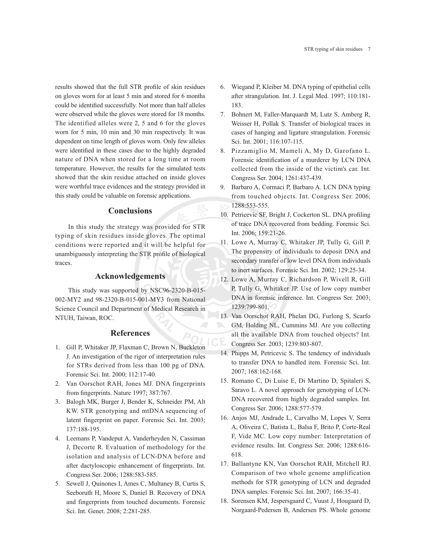results showed that the full STR profile of skin residues on gloves worn for at least 5 min and stored for 6 months could be identified successfully. Not more than half alleles were observed while the gloves were stored for 18 months. The identified alleles were 2, 5 and 6 for the gloves worn for 5 min, 10 min and 30 min respectively. It was dependent on time length of gloves worn. Only few alleles were identified in these cases due to the highly degraded nature of DNA when stored for a long time at room temperature. However, the results for the simulated tests showed that the skin residue attached on inside gloves were worthful trace evidences and the strategy provided in this study could be valuable on forensic applications.

# **Conclusions**

In this study the strategy was provided for STR typing of skin residues inside gloves. The optimal conditions were reported and it will be helpful for unambiguously interpreting the STR profile of biological traces.

# **Acknowledgements**

This study was supported by NSC96-2320-B-015- 002-MY2 and 98-2320-B-015-001-MY3 from National Science Council and Department of Medical Research in NTUH, Taiwan, ROC.

# **References**

- 1. Gill P, Whitaker JP, Flaxman C, Brown N, Buckleton J. An investigation of the rigor of interpretation rules for STRs derived from less than 100 pg of DNA. Forensic Sci. Int. 2000; 112:17-40.
- 2. Van Oorschot RAH, Jones MJ. DNA fingerprints from fingerprints. Nature 1997; 387:767.
- 3. Balogh MK, Burger J, Bender K, Schneider PM, Alt KW. STR genotyping and mtDNA sequencing of latent fingerprint on paper. Forensic Sci. Int. 2003; 137:188-195.
- 4. Leemans P, Vandeput A, Vanderheyden N, Cassiman J, Decorte R. Evaluation of methodology for the isolation and analysis of LCN-DNA before and after dactyloscopic enhancement of fingerprints. Int. Congress Ser. 2006; 1288:583-585.
- 5. Sewell J, Quinones I, Ames C, Multaney B, Curtis S, Seeboruth H, Moore S, Daniel B. Recovery of DNA and fingerprints from touched documents. Forensic Sci. Int. Genet. 2008; 2:281-285.
- 6. Wiegand P, Kleiber M. DNA typing of epithelial cells after strangulation. Int. J. Legal Med. 1997; 110:181- 183.
- 7. Bohnert M, Faller-Marquardt M, Lutz S, Amberg R, Weisser H, Pollak S. Transfer of biological traces in cases of hanging and ligature strangulation. Forensic Sci. Int. 2001; 116:107-115.
- 8. Pizzamiglio M, Mameli A, My D, Garofano L. Forensic identification of a murderer by LCN DNA collected from the inside of the victim's car. Int. Congress Ser. 2004; 1261:437-439.
- 9. Barbaro A, Cormaci P, Barbaro A. LCN DNA typing from touched objects. Int. Congress Ser. 2006; 1288:553-555.
- 10. Petricevic SF, Bright J, Cockerton SL. DNA profiling of trace DNA recovered from bedding. Forensic Sci. Int. 2006; 159:21-26.
- 11. Lowe A, Murray C, Whitaker JP, Tully G, Gill P. The propensity of individuals to deposit DNA and secondary transfer of low level DNA from individuals to inert surfaces. Forensic Sci. Int. 2002; 129:25-34.
- 12. Lowe A, Murray C, Richardson P, Wivell R, Gill P, Tully G, Whitaker JP. Use of low copy number DNA in forensic inference. Int. Congress Ser. 2003; 1239:799-801.
- 13. Van Oorschot RAH, Phelan DG, Furlong S, Scarfo GM, Holding NL, Cummins MJ. Are you collecting all the available DNA from touched objects? Int. Congress Ser. 2003; 1239:803-807.
- 14. Phipps M, Petricevic S. The tendency of individuals to transfer DNA to handled item. Forensic Sci. Int. 2007; 168:162-168.
- 15. Romano C, Di Luise E, Di Martino D, Spitaleri S, Saravo L. A novel approach for genotyping of LCN-DNA recovered from highly degraded samples. Int. Congress Ser. 2006; 1288:577-579.
- 16. Anjos MJ, Andrade L, Carvalho M, Lopes V, Serra A, Oliveira C, Batista L, Balsa F, Brito P, Corte-Real F, Vide MC. Low copy number: Interpretation of evidence results. Int. Congress Ser. 2006; 1288:616- 618.
- 17. Ballantyne KN, Van Oorschot RAH, Mitchell RJ. Comparison of two whole genome amplification methods for STR genotyping of LCN and degraded DNA samples. Forensic Sci. Int. 2007; 166:35-41.
- 18. Sorensen KM, Jespersgaard C, Vuust J, Hougaard D, Norgaard-Pedersen B, Andersen PS. Whole genome